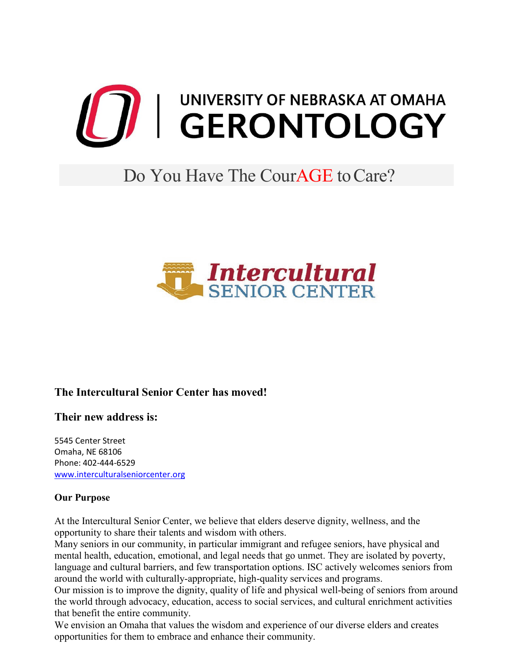

# Do You Have The Cour**AGE** to Care?



## **The Intercultural Senior Center has moved!**

**Their new address is:**

5545 Center Street Omaha, NE 68106 Phone: 402-444-6529 [www.interculturalseniorcenter.org](https://www.interculturalseniorcenter.org/)

#### **Our Purpose**

At the Intercultural Senior Center, we believe that elders deserve dignity, wellness, and the opportunity to share their talents and wisdom with others.

Many seniors in our community, in particular immigrant and refugee seniors, have physical and mental health, education, emotional, and legal needs that go unmet. They are isolated by poverty, language and cultural barriers, and few transportation options. ISC actively welcomes seniors from around the world with culturally-appropriate, high-quality services and programs.

Our mission is to improve the dignity, quality of life and physical well-being of seniors from around the world through advocacy, education, access to social services, and cultural enrichment activities that benefit the entire community.

We envision an Omaha that values the wisdom and experience of our diverse elders and creates opportunities for them to embrace and enhance their community.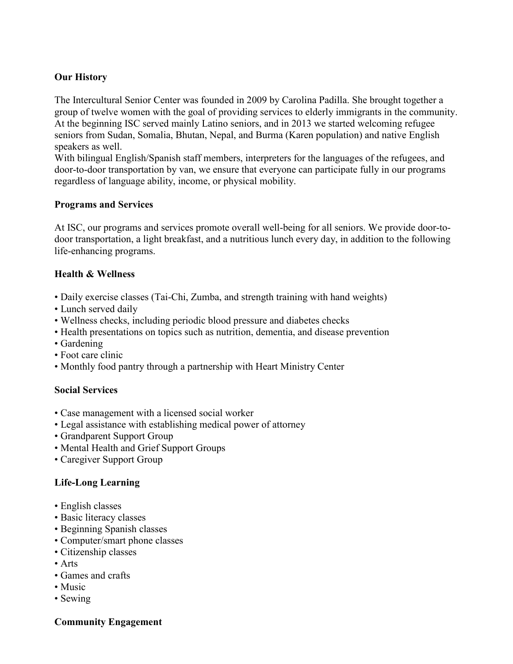### **Our History**

The Intercultural Senior Center was founded in 2009 by Carolina Padilla. She brought together a group of twelve women with the goal of providing services to elderly immigrants in the community. At the beginning ISC served mainly Latino seniors, and in 2013 we started welcoming refugee seniors from Sudan, Somalia, Bhutan, Nepal, and Burma (Karen population) and native English speakers as well.

With bilingual English/Spanish staff members, interpreters for the languages of the refugees, and door-to-door transportation by van, we ensure that everyone can participate fully in our programs regardless of language ability, income, or physical mobility.

#### **Programs and Services**

At ISC, our programs and services promote overall well-being for all seniors. We provide door-todoor transportation, a light breakfast, and a nutritious lunch every day, in addition to the following life-enhancing programs.

#### **Health & Wellness**

- Daily exercise classes (Tai-Chi, Zumba, and strength training with hand weights)
- Lunch served daily
- Wellness checks, including periodic blood pressure and diabetes checks
- Health presentations on topics such as nutrition, dementia, and disease prevention
- Gardening
- Foot care clinic
- Monthly food pantry through a partnership with Heart Ministry Center

#### **Social Services**

- Case management with a licensed social worker
- Legal assistance with establishing medical power of attorney
- Grandparent Support Group
- Mental Health and Grief Support Groups
- Caregiver Support Group

#### **Life-Long Learning**

- English classes
- Basic literacy classes
- Beginning Spanish classes
- Computer/smart phone classes
- Citizenship classes
- Arts
- Games and crafts
- Music
- Sewing

#### **Community Engagement**